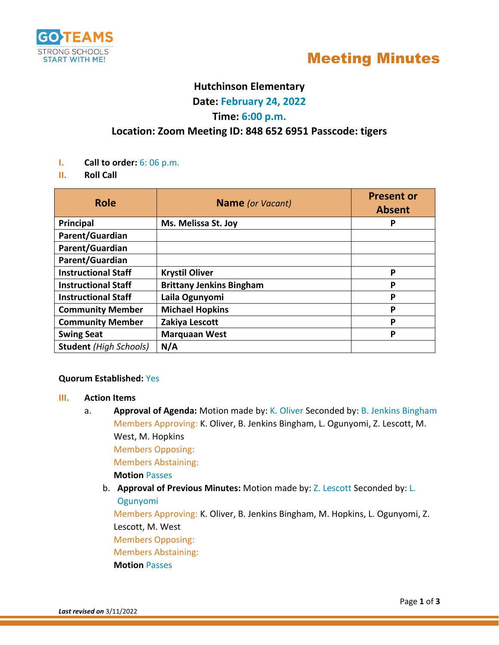

## Meeting Minutes

## **Hutchinson Elementary**

**Date: February 24, 2022**

### **Time: 6:00 p.m.**

## **Location: Zoom Meeting ID: 848 652 6951 Passcode: tigers**

- **I. Call to order:** 6: 06 p.m.
- **II. Roll Call**

| <b>Role</b>                   | <b>Name</b> (or Vacant)         | <b>Present or</b><br><b>Absent</b> |
|-------------------------------|---------------------------------|------------------------------------|
| <b>Principal</b>              | Ms. Melissa St. Joy             | P                                  |
| Parent/Guardian               |                                 |                                    |
| Parent/Guardian               |                                 |                                    |
| Parent/Guardian               |                                 |                                    |
| <b>Instructional Staff</b>    | <b>Krystil Oliver</b>           | P                                  |
| <b>Instructional Staff</b>    | <b>Brittany Jenkins Bingham</b> | P                                  |
| <b>Instructional Staff</b>    | Laila Ogunyomi                  | P                                  |
| <b>Community Member</b>       | <b>Michael Hopkins</b>          | P                                  |
| <b>Community Member</b>       | Zakiya Lescott                  | P                                  |
| <b>Swing Seat</b>             | <b>Marquaan West</b>            | P                                  |
| <b>Student</b> (High Schools) | N/A                             |                                    |

#### **Quorum Established:** Yes

#### **III. Action Items**

a. **Approval of Agenda:** Motion made by: K. Oliver Seconded by: B. Jenkins Bingham Members Approving: K. Oliver, B. Jenkins Bingham, L. Ogunyomi, Z. Lescott, M. West, M. Hopkins

Members Opposing:

Members Abstaining:

**Motion** Passes

b. **Approval of Previous Minutes:** Motion made by: Z. Lescott Seconded by: L. Ogunyomi

Members Approving: K. Oliver, B. Jenkins Bingham, M. Hopkins, L. Ogunyomi, Z. Lescott, M. West

Members Opposing:

Members Abstaining:

#### **Motion** Passes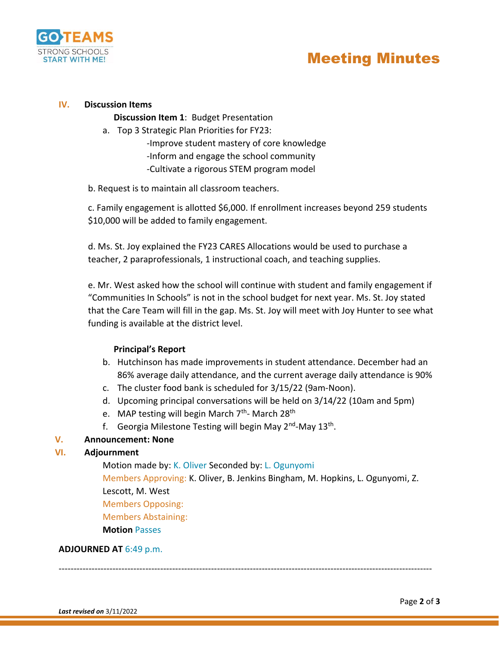

#### **IV. Discussion Items**

**Discussion Item 1**: Budget Presentation

a. Top 3 Strategic Plan Priorities for FY23:

-Improve student mastery of core knowledge -Inform and engage the school community -Cultivate a rigorous STEM program model

b. Request is to maintain all classroom teachers.

c. Family engagement is allotted \$6,000. If enrollment increases beyond 259 students \$10,000 will be added to family engagement.

d. Ms. St. Joy explained the FY23 CARES Allocations would be used to purchase a teacher, 2 paraprofessionals, 1 instructional coach, and teaching supplies.

e. Mr. West asked how the school will continue with student and family engagement if "Communities In Schools" is not in the school budget for next year. Ms. St. Joy stated that the Care Team will fill in the gap. Ms. St. Joy will meet with Joy Hunter to see what funding is available at the district level.

#### **Principal's Report**

- b. Hutchinson has made improvements in student attendance. December had an 86% average daily attendance, and the current average daily attendance is 90%
- c. The cluster food bank is scheduled for 3/15/22 (9am-Noon).
- d. Upcoming principal conversations will be held on 3/14/22 (10am and 5pm)
- e. MAP testing will begin March 7<sup>th</sup>- March 28<sup>th</sup>
- f. Georgia Milestone Testing will begin May 2<sup>nd</sup>-May 13<sup>th</sup>.

#### **V. Announcement: None**

#### **VI. Adjournment**

Motion made by: K. Oliver Seconded by: L. Ogunyomi Members Approving: K. Oliver, B. Jenkins Bingham, M. Hopkins, L. Ogunyomi, Z. Lescott, M. West Members Opposing: Members Abstaining: **Motion** Passes

#### **ADJOURNED AT** 6:49 p.m.

-----------------------------------------------------------------------------------------------------------------------------